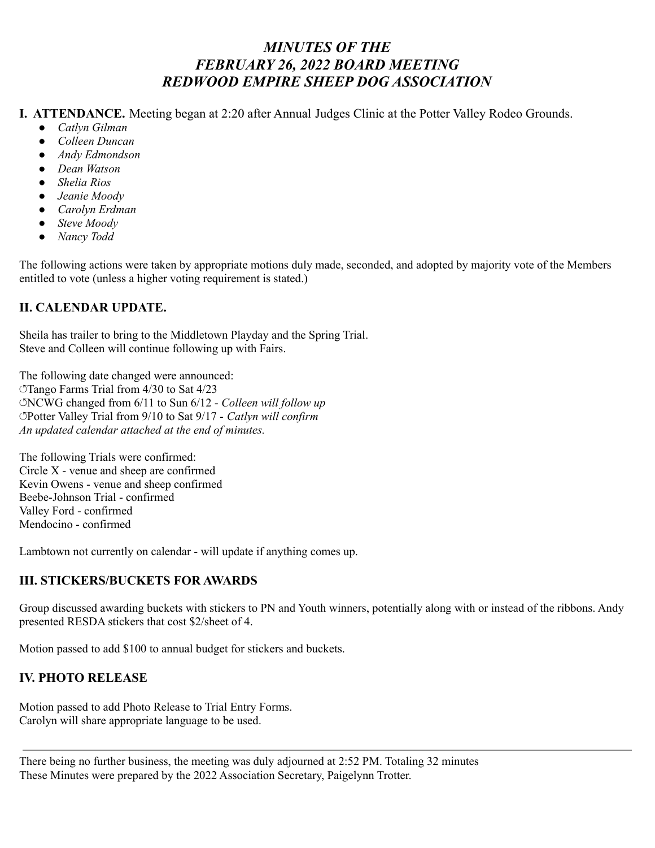## *MINUTES OF THE FEBRUARY 26, 2022 BOARD MEETING REDWOOD EMPIRE SHEEP DOG ASSOCIATION*

**I. ATTENDANCE.** Meeting began at 2:20 after Annual Judges Clinic at the Potter Valley Rodeo Grounds.

- *● Catlyn Gilman*
- *● Colleen Duncan*
- *● Andy Edmondson*
- *● Dean Watson*
- *● Shelia Rios*
- *● Jeanie Moody*
- *● Carolyn Erdman*
- *● Steve Moody*
- *● Nancy Todd*

The following actions were taken by appropriate motions duly made, seconded, and adopted by majority vote of the Members entitled to vote (unless a higher voting requirement is stated.)

## **II. CALENDAR UPDATE.**

Sheila has trailer to bring to the Middletown Playday and the Spring Trial. Steve and Colleen will continue following up with Fairs.

The following date changed were announced: ↺Tango Farms Trial from 4/30 to Sat 4/23 ↺NCWG changed from 6/11 to Sun 6/12 - *Colleen will follow up* ↺Potter Valley Trial from 9/10 to Sat 9/17 - *Catlyn will confirm An updated calendar attached at the end of minutes.*

The following Trials were confirmed: Circle X - venue and sheep are confirmed Kevin Owens - venue and sheep confirmed Beebe-Johnson Trial - confirmed Valley Ford - confirmed Mendocino - confirmed

Lambtown not currently on calendar - will update if anything comes up.

## **III. STICKERS/BUCKETS FOR AWARDS**

Group discussed awarding buckets with stickers to PN and Youth winners, potentially along with or instead of the ribbons. Andy presented RESDA stickers that cost \$2/sheet of 4.

Motion passed to add \$100 to annual budget for stickers and buckets.

## **IV. PHOTO RELEASE**

Motion passed to add Photo Release to Trial Entry Forms. Carolyn will share appropriate language to be used.

There being no further business, the meeting was duly adjourned at 2:52 PM. Totaling 32 minutes These Minutes were prepared by the 2022 Association Secretary, Paigelynn Trotter.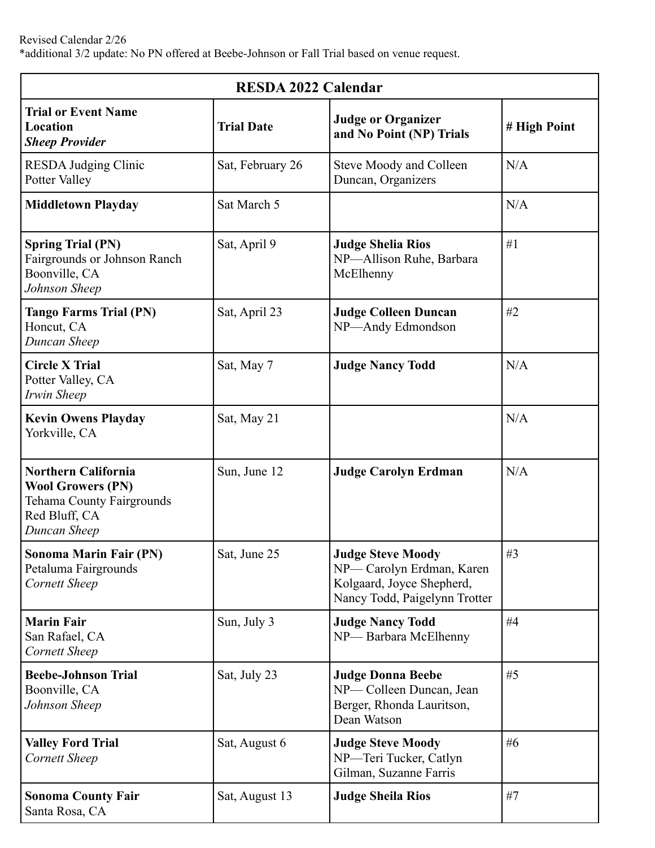| <b>RESDA 2022 Calendar</b>                                                                                                  |                   |                                                                                                                    |              |  |
|-----------------------------------------------------------------------------------------------------------------------------|-------------------|--------------------------------------------------------------------------------------------------------------------|--------------|--|
| <b>Trial or Event Name</b><br>Location<br><b>Sheep Provider</b>                                                             | <b>Trial Date</b> | <b>Judge or Organizer</b><br>and No Point (NP) Trials                                                              | # High Point |  |
| <b>RESDA Judging Clinic</b><br>Potter Valley                                                                                | Sat, February 26  | Steve Moody and Colleen<br>Duncan, Organizers                                                                      | N/A          |  |
| <b>Middletown Playday</b>                                                                                                   | Sat March 5       |                                                                                                                    | N/A          |  |
| <b>Spring Trial (PN)</b><br>Fairgrounds or Johnson Ranch<br>Boonville, CA<br>Johnson Sheep                                  | Sat, April 9      | <b>Judge Shelia Rios</b><br>NP-Allison Ruhe, Barbara<br>McElhenny                                                  | #1           |  |
| <b>Tango Farms Trial (PN)</b><br>Honcut, CA<br>Duncan Sheep                                                                 | Sat, April 23     | <b>Judge Colleen Duncan</b><br>NP-Andy Edmondson                                                                   | #2           |  |
| <b>Circle X Trial</b><br>Potter Valley, CA<br>Irwin Sheep                                                                   | Sat, May 7        | <b>Judge Nancy Todd</b>                                                                                            | N/A          |  |
| <b>Kevin Owens Playday</b><br>Yorkville, CA                                                                                 | Sat, May 21       |                                                                                                                    | N/A          |  |
| <b>Northern California</b><br><b>Wool Growers (PN)</b><br><b>Tehama County Fairgrounds</b><br>Red Bluff, CA<br>Duncan Sheep | Sun, June 12      | <b>Judge Carolyn Erdman</b>                                                                                        | N/A          |  |
| Sonoma Marin Fair (PN)<br>Petaluma Fairgrounds<br><b>Cornett Sheep</b>                                                      | Sat, June 25      | <b>Judge Steve Moody</b><br>NP-Carolyn Erdman, Karen<br>Kolgaard, Joyce Shepherd,<br>Nancy Todd, Paigelynn Trotter | $\#3$        |  |
| <b>Marin Fair</b><br>San Rafael, CA<br><b>Cornett Sheep</b>                                                                 | Sun, July 3       | <b>Judge Nancy Todd</b><br>NP-Barbara McElhenny                                                                    | #4           |  |
| <b>Beebe-Johnson Trial</b><br>Boonville, CA<br>Johnson Sheep                                                                | Sat, July 23      | <b>Judge Donna Beebe</b><br>NP-Colleen Duncan, Jean<br>Berger, Rhonda Lauritson,<br>Dean Watson                    | #5           |  |
| <b>Valley Ford Trial</b><br><b>Cornett Sheep</b>                                                                            | Sat, August 6     | <b>Judge Steve Moody</b><br>NP-Teri Tucker, Catlyn<br>Gilman, Suzanne Farris                                       | #6           |  |
| <b>Sonoma County Fair</b><br>Santa Rosa, CA                                                                                 | Sat, August 13    | <b>Judge Sheila Rios</b>                                                                                           | #7           |  |